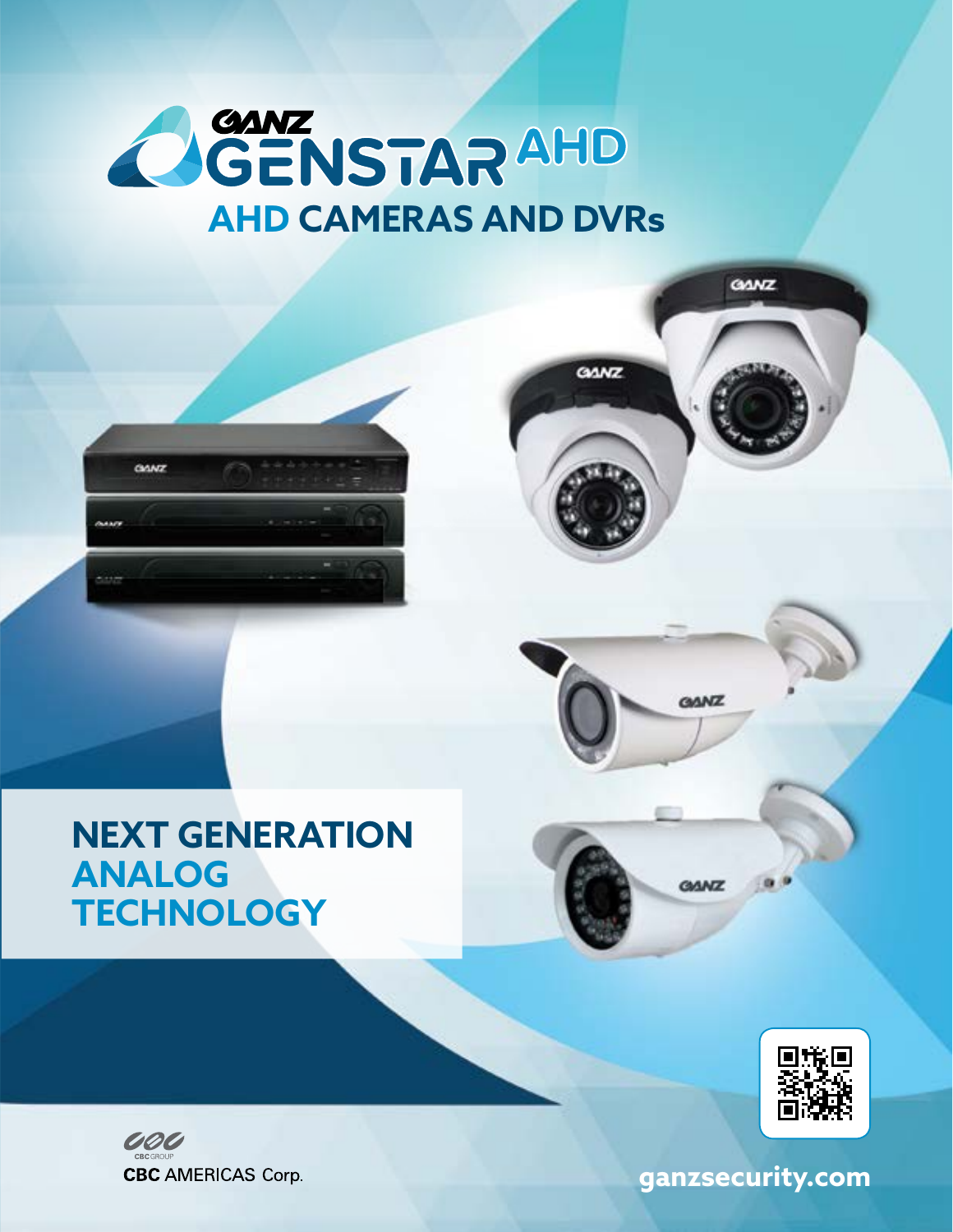



### **NEXT GENERATION ANALOG TECHNOLOGY**





 **ganzsecurity.com**

**GANZ** 

**GANZ** 

**GANZ** 

**GANZ**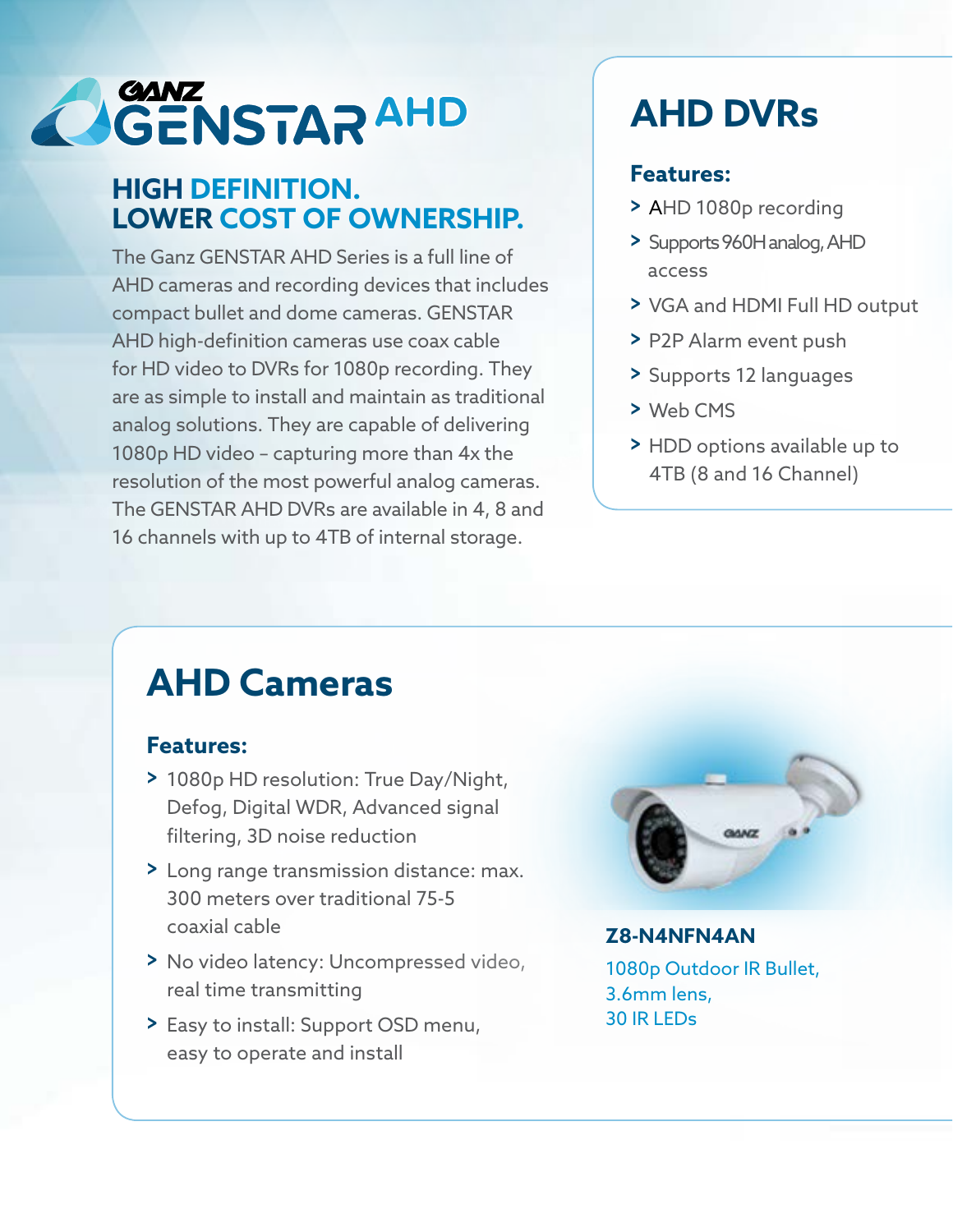# **OGENSTARAHD**

#### **HIGH DEFINITION. LOWER COST OF OWNERSHIP.**

The Ganz GENSTAR AHD Series is a full line of AHD cameras and recording devices that includes compact bullet and dome cameras. GENSTAR AHD high-definition cameras use coax cable for HD video to DVRs for 1080p recording. They are as simple to install and maintain as traditional analog solutions. They are capable of delivering 1080p HD video – capturing more than 4x the resolution of the most powerful analog cameras. The GENSTAR AHD DVRs are available in 4, 8 and 16 channels with up to 4TB of internal storage.

## **AHD DVRs**

#### **Features:**

- **>** AHD 1080p recording
- **>** Supports 960H analog, AHD access
- **>** VGA and HDMI Full HD output
- **>** P2P Alarm event push
- **>** Supports 12 languages
- **>** Web CMS
- **>** HDD options available up to 4TB (8 and 16 Channel)

## **AHD Cameras**

#### **Features:**

- **>** 1080p HD resolution: True Day/Night, Defog, Digital WDR, Advanced signal filtering, 3D noise reduction
- **>** Long range transmission distance: max. 300 meters over traditional 75-5 coaxial cable
- **>** No video latency: Uncompressed video, real time transmitting
- **>** Easy to install: Support OSD menu, easy to operate and install



#### **Z8-N4NFN4AN**

1080p Outdoor IR Bullet, 3.6mm lens, 30 IR LEDs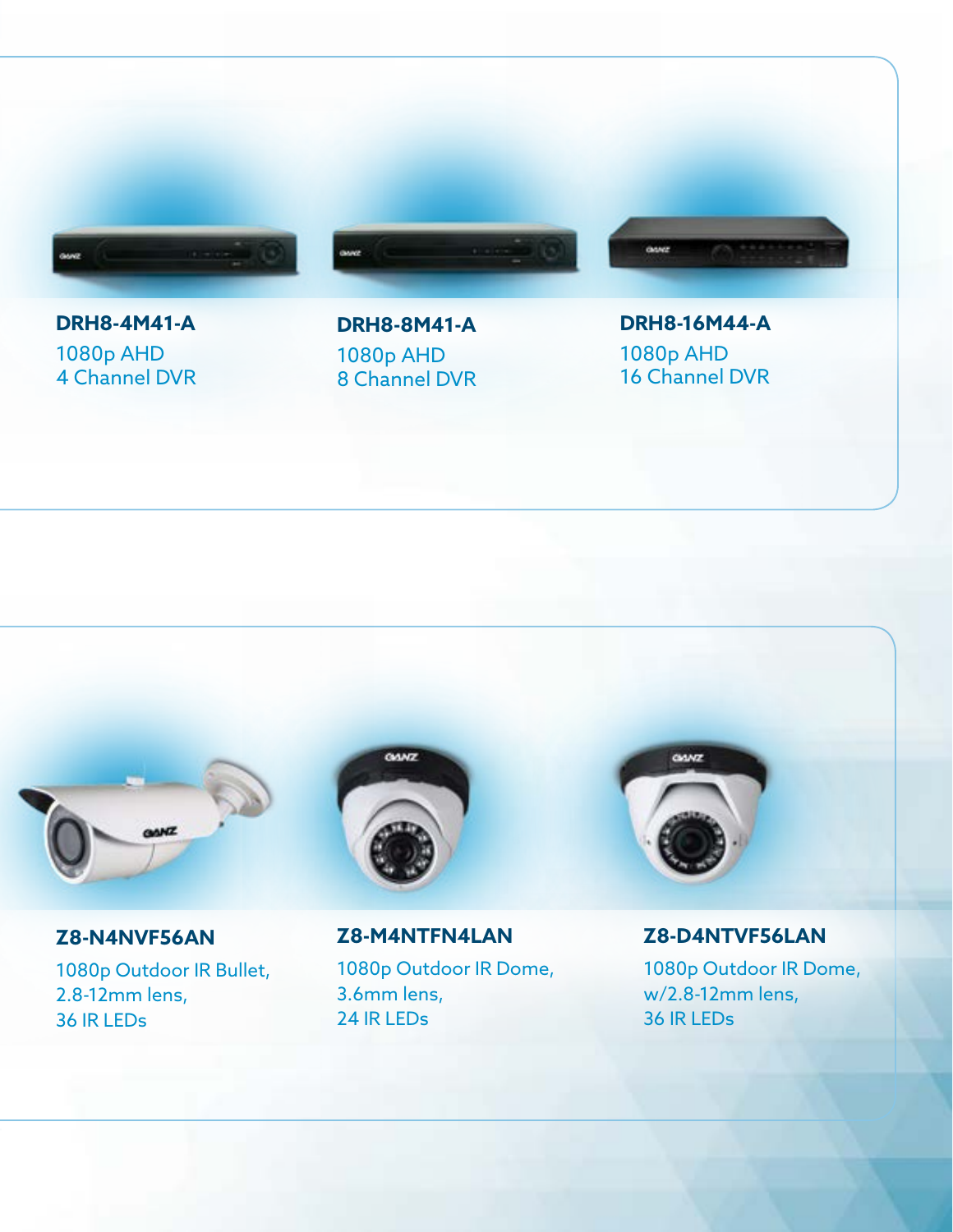

#### **DRH8-4M41-A** 1080p AHD 4 Channel DVR



**DRH8-16M44-A** 1080p AHD 16 Channel DVR



#### **Z8-N4NVF56AN**

1080p Outdoor IR Bullet, 2.8-12mm lens, 36 IR LEDs



**Z8-M4NTFN4LAN** 1080p Outdoor IR Dome, 3.6mm lens, 24 IR LEDs



#### **Z8-D4NTVF56LAN**

1080p Outdoor IR Dome, w/2.8-12mm lens, 36 IR LEDs